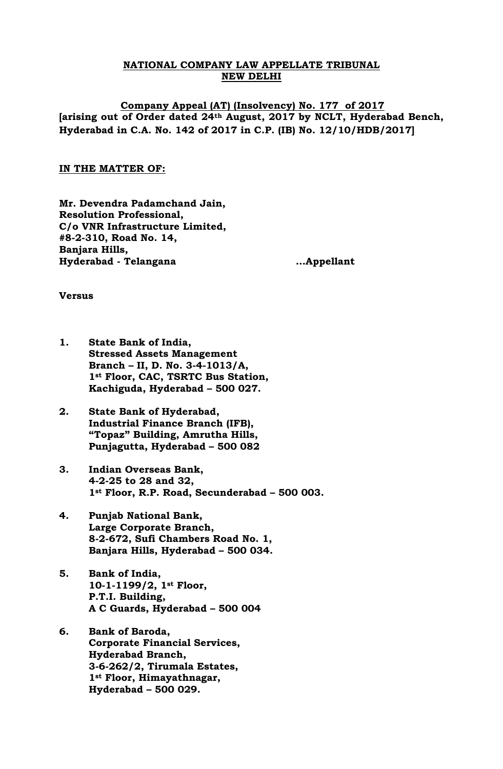## **NATIONAL COMPANY LAW APPELLATE TRIBUNAL NEW DELHI**

**Company Appeal (AT) (Insolvency) No. 177 of 2017 [arising out of Order dated 24th August, 2017 by NCLT, Hyderabad Bench, Hyderabad in C.A. No. 142 of 2017 in C.P. (IB) No. 12/10/HDB/2017]**

### **IN THE MATTER OF:**

**Mr. Devendra Padamchand Jain, Resolution Professional, C/o VNR Infrastructure Limited, #8-2-310, Road No. 14, Banjara Hills, Hyderabad - Telangana …Appellant**

**Versus**

- **1. State Bank of India, Stressed Assets Management Branch – II, D. No. 3-4-1013/A, 1st Floor, CAC, TSRTC Bus Station, Kachiguda, Hyderabad – 500 027.**
- **2. State Bank of Hyderabad, Industrial Finance Branch (IFB), "Topaz" Building, Amrutha Hills, Punjagutta, Hyderabad – 500 082**
- **3. Indian Overseas Bank, 4-2-25 to 28 and 32, 1st Floor, R.P. Road, Secunderabad – 500 003.**
- **4. Punjab National Bank, Large Corporate Branch, 8-2-672, Sufi Chambers Road No. 1, Banjara Hills, Hyderabad – 500 034.**
- **5. Bank of India, 10-1-1199/2, 1st Floor, P.T.I. Building, A C Guards, Hyderabad – 500 004**
- **6. Bank of Baroda, Corporate Financial Services, Hyderabad Branch, 3-6-262/2, Tirumala Estates, 1st Floor, Himayathnagar, Hyderabad – 500 029.**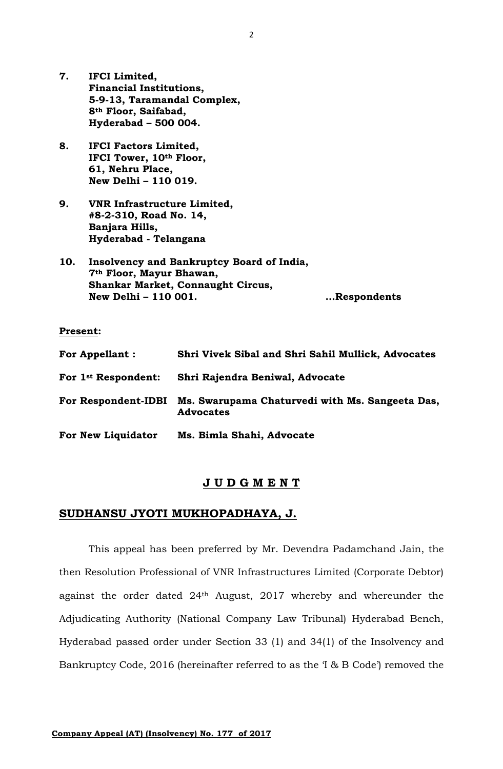- **7. IFCI Limited, Financial Institutions, 5-9-13, Taramandal Complex, 8th Floor, Saifabad, Hyderabad – 500 004.**
- **8. IFCI Factors Limited, IFCI Tower, 10th Floor, 61, Nehru Place, New Delhi – 110 019.**
- **9. VNR Infrastructure Limited, #8-2-310, Road No. 14, Banjara Hills, Hyderabad - Telangana**
- **10. Insolvency and Bankruptcy Board of India, 7th Floor, Mayur Bhawan, Shankar Market, Connaught Circus, New Delhi – 110 001. …Respondents**

#### **Present:**

| <b>For Appellant:</b>           | Shri Vivek Sibal and Shri Sahil Mullick, Advocates                  |
|---------------------------------|---------------------------------------------------------------------|
| For 1 <sup>st</sup> Respondent: | Shri Rajendra Beniwal, Advocate                                     |
| <b>For Respondent-IDBI</b>      | Ms. Swarupama Chaturvedi with Ms. Sangeeta Das,<br><b>Advocates</b> |
| For New Liquidator              | Ms. Bimla Shahi, Advocate                                           |

#### **J U D G M E N T**

# **SUDHANSU JYOTI MUKHOPADHAYA, J.**

This appeal has been preferred by Mr. Devendra Padamchand Jain, the then Resolution Professional of VNR Infrastructures Limited (Corporate Debtor) against the order dated 24th August, 2017 whereby and whereunder the Adjudicating Authority (National Company Law Tribunal) Hyderabad Bench, Hyderabad passed order under Section 33 (1) and 34(1) of the Insolvency and Bankruptcy Code, 2016 (hereinafter referred to as the 'I & B Code') removed the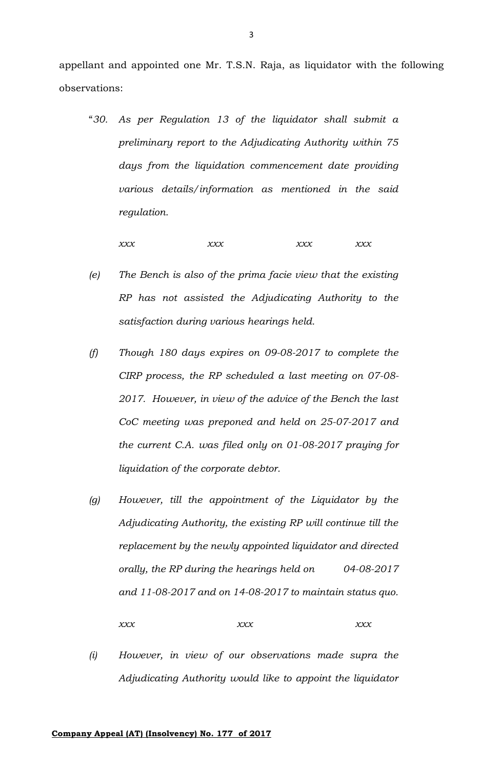appellant and appointed one Mr. T.S.N. Raja, as liquidator with the following observations:

"*30. As per Regulation 13 of the liquidator shall submit a preliminary report to the Adjudicating Authority within 75 days from the liquidation commencement date providing various details/information as mentioned in the said regulation.*

*xxx xxx xxx xxx*

- *(e) The Bench is also of the prima facie view that the existing RP has not assisted the Adjudicating Authority to the satisfaction during various hearings held.*
- *(f) Though 180 days expires on 09-08-2017 to complete the CIRP process, the RP scheduled a last meeting on 07-08- 2017. However, in view of the advice of the Bench the last CoC meeting was preponed and held on 25-07-2017 and the current C.A. was filed only on 01-08-2017 praying for liquidation of the corporate debtor.*
- *(g) However, till the appointment of the Liquidator by the Adjudicating Authority, the existing RP will continue till the replacement by the newly appointed liquidator and directed orally, the RP during the hearings held on 04-08-2017 and 11-08-2017 and on 14-08-2017 to maintain status quo.*

*xxx xxx xxx*

*(i) However, in view of our observations made supra the Adjudicating Authority would like to appoint the liquidator*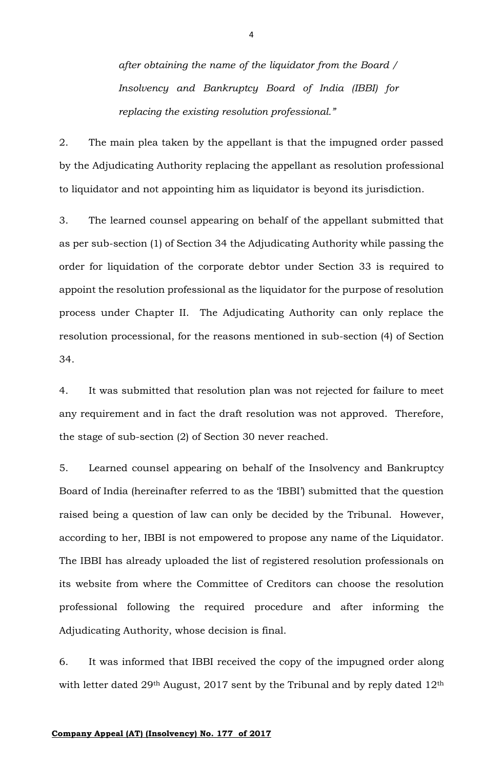*after obtaining the name of the liquidator from the Board / Insolvency and Bankruptcy Board of India (IBBI) for replacing the existing resolution professional."*

2. The main plea taken by the appellant is that the impugned order passed by the Adjudicating Authority replacing the appellant as resolution professional to liquidator and not appointing him as liquidator is beyond its jurisdiction.

3. The learned counsel appearing on behalf of the appellant submitted that as per sub-section (1) of Section 34 the Adjudicating Authority while passing the order for liquidation of the corporate debtor under Section 33 is required to appoint the resolution professional as the liquidator for the purpose of resolution process under Chapter II. The Adjudicating Authority can only replace the resolution processional, for the reasons mentioned in sub-section (4) of Section 34.

4. It was submitted that resolution plan was not rejected for failure to meet any requirement and in fact the draft resolution was not approved. Therefore, the stage of sub-section (2) of Section 30 never reached.

5. Learned counsel appearing on behalf of the Insolvency and Bankruptcy Board of India (hereinafter referred to as the 'IBBI') submitted that the question raised being a question of law can only be decided by the Tribunal. However, according to her, IBBI is not empowered to propose any name of the Liquidator. The IBBI has already uploaded the list of registered resolution professionals on its website from where the Committee of Creditors can choose the resolution professional following the required procedure and after informing the Adjudicating Authority, whose decision is final.

6. It was informed that IBBI received the copy of the impugned order along with letter dated 29<sup>th</sup> August, 2017 sent by the Tribunal and by reply dated 12<sup>th</sup>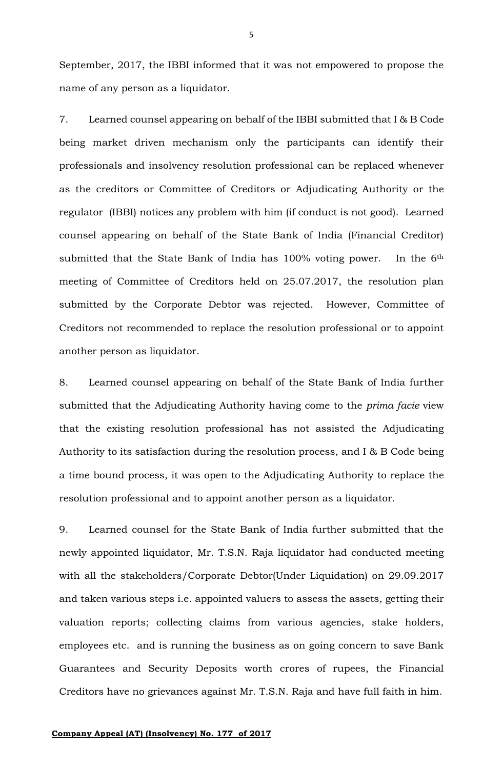September, 2017, the IBBI informed that it was not empowered to propose the name of any person as a liquidator.

7. Learned counsel appearing on behalf of the IBBI submitted that I & B Code being market driven mechanism only the participants can identify their professionals and insolvency resolution professional can be replaced whenever as the creditors or Committee of Creditors or Adjudicating Authority or the regulator (IBBI) notices any problem with him (if conduct is not good). Learned counsel appearing on behalf of the State Bank of India (Financial Creditor) submitted that the State Bank of India has 100% voting power. In the 6<sup>th</sup> meeting of Committee of Creditors held on 25.07.2017, the resolution plan submitted by the Corporate Debtor was rejected. However, Committee of Creditors not recommended to replace the resolution professional or to appoint another person as liquidator.

8. Learned counsel appearing on behalf of the State Bank of India further submitted that the Adjudicating Authority having come to the *prima facie* view that the existing resolution professional has not assisted the Adjudicating Authority to its satisfaction during the resolution process, and I & B Code being a time bound process, it was open to the Adjudicating Authority to replace the resolution professional and to appoint another person as a liquidator.

9. Learned counsel for the State Bank of India further submitted that the newly appointed liquidator, Mr. T.S.N. Raja liquidator had conducted meeting with all the stakeholders/Corporate Debtor(Under Liquidation) on 29.09.2017 and taken various steps i.e. appointed valuers to assess the assets, getting their valuation reports; collecting claims from various agencies, stake holders, employees etc. and is running the business as on going concern to save Bank Guarantees and Security Deposits worth crores of rupees, the Financial Creditors have no grievances against Mr. T.S.N. Raja and have full faith in him.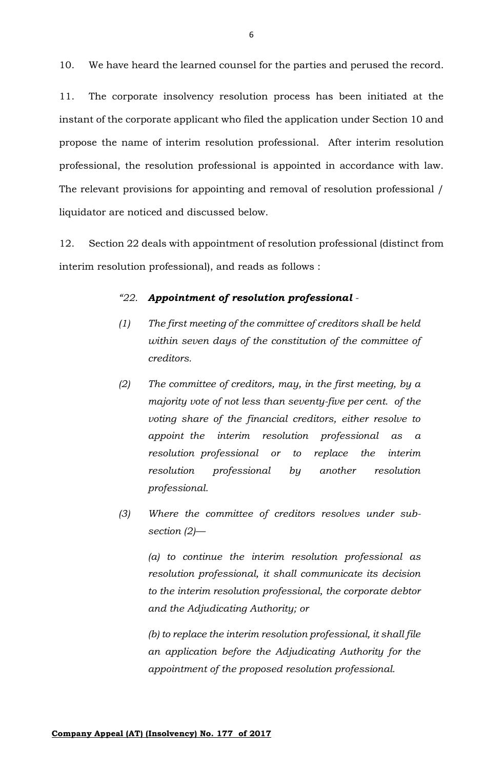10. We have heard the learned counsel for the parties and perused the record.

11. The corporate insolvency resolution process has been initiated at the instant of the corporate applicant who filed the application under Section 10 and propose the name of interim resolution professional. After interim resolution professional, the resolution professional is appointed in accordance with law. The relevant provisions for appointing and removal of resolution professional / liquidator are noticed and discussed below.

12. Section 22 deals with appointment of resolution professional (distinct from interim resolution professional), and reads as follows :

### *"22. Appointment of resolution professional -*

- *(1) The first meeting of the committee of creditors shall be held within seven days of the constitution of the committee of creditors.*
- *(2) The committee of creditors, may, in the first meeting, by a majority vote of not less than seventy-five per cent. of the voting share of the financial creditors, either resolve to appoint the interim resolution professional as a resolution professional or to replace the interim resolution professional by another resolution professional.*
- *(3) Where the committee of creditors resolves under subsection (2)—*

*(a) to continue the interim resolution professional as resolution professional, it shall communicate its decision to the interim resolution professional, the corporate debtor and the Adjudicating Authority; or*

*(b) to replace the interim resolution professional, it shall file an application before the Adjudicating Authority for the appointment of the proposed resolution professional.*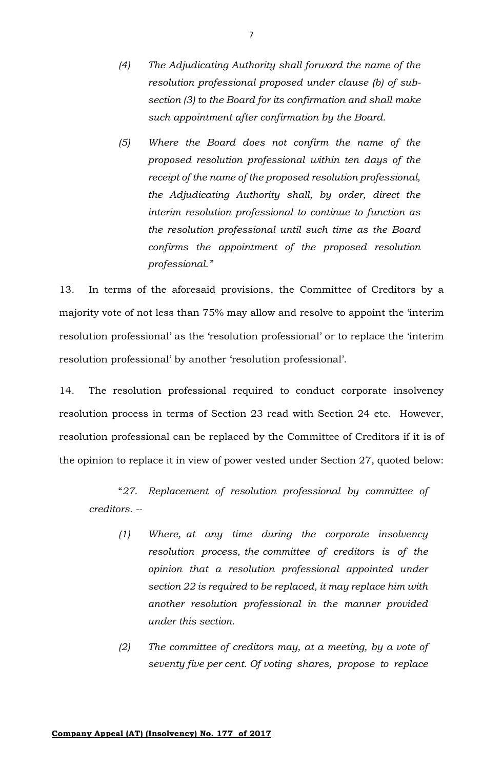- *(4) The Adjudicating Authority shall forward the name of the resolution professional proposed under clause (b) of subsection (3) to the Board for its confirmation and shall make such appointment after confirmation by the Board.*
- *(5) Where the Board does not confirm the name of the proposed resolution professional within ten days of the receipt of the name of the proposed resolution professional, the Adjudicating Authority shall, by order, direct the interim resolution professional to continue to function as the resolution professional until such time as the Board confirms the appointment of the proposed resolution professional."*

13. In terms of the aforesaid provisions, the Committee of Creditors by a majority vote of not less than 75% may allow and resolve to appoint the 'interim resolution professional' as the 'resolution professional' or to replace the 'interim resolution professional' by another 'resolution professional'.

14. The resolution professional required to conduct corporate insolvency resolution process in terms of Section 23 read with Section 24 etc. However, resolution professional can be replaced by the Committee of Creditors if it is of the opinion to replace it in view of power vested under Section 27, quoted below:

"*27. Replacement of resolution professional by committee of creditors. --*

- *(1) Where, at any time during the corporate insolvency resolution process, the committee of creditors is of the opinion that a resolution professional appointed under section 22 is required to be replaced, it may replace him with another resolution professional in the manner provided under this section.*
- *(2) The committee of creditors may, at a meeting, by a vote of seventy five per cent. Of voting shares, propose to replace*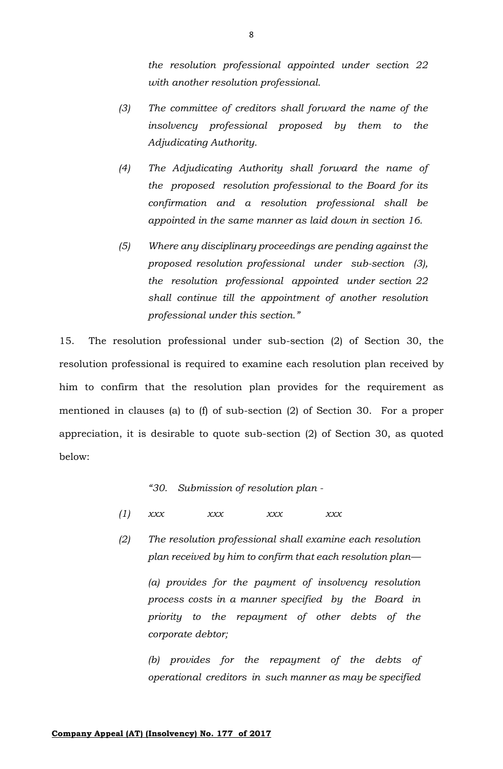*the resolution professional appointed under section 22 with another resolution professional.*

- *(3) The committee of creditors shall forward the name of the insolvency professional proposed by them to the Adjudicating Authority.*
- *(4) The Adjudicating Authority shall forward the name of the proposed resolution professional to the Board for its confirmation and a resolution professional shall be appointed in the same manner as laid down in section 16.*
- *(5) Where any disciplinary proceedings are pending against the proposed resolution professional under sub-section (3), the resolution professional appointed under section 22 shall continue till the appointment of another resolution professional under this section."*

15. The resolution professional under sub-section (2) of Section 30, the resolution professional is required to examine each resolution plan received by him to confirm that the resolution plan provides for the requirement as mentioned in clauses (a) to (f) of sub-section (2) of Section 30. For a proper appreciation, it is desirable to quote sub-section (2) of Section 30, as quoted below:

*"30. Submission of resolution plan -*

- *(1) xxx xxx xxx xxx*
- *(2) The resolution professional shall examine each resolution plan received by him to confirm that each resolution plan—*

*(a) provides for the payment of insolvency resolution process costs in a manner specified by the Board in priority to the repayment of other debts of the corporate debtor;*

*(b) provides for the repayment of the debts of operational creditors in such manner as may be specified*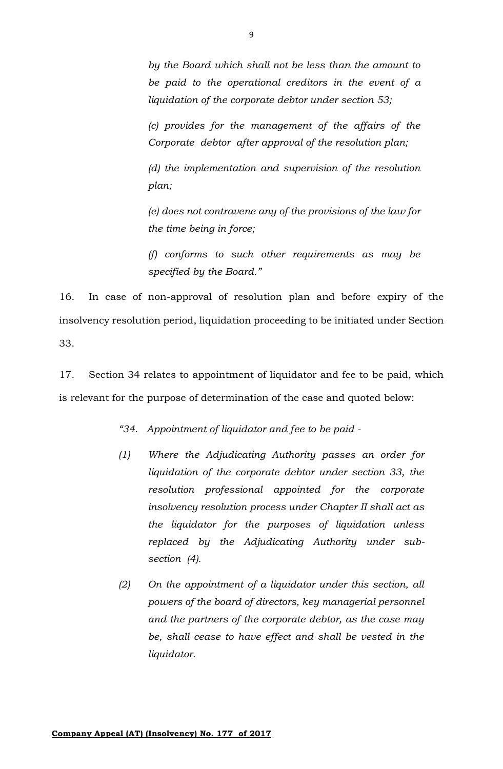*by the Board which shall not be less than the amount to be paid to the operational creditors in the event of a liquidation of the corporate debtor under section 53;*

*(c) provides for the management of the affairs of the Corporate debtor after approval of the resolution plan;*

*(d) the implementation and supervision of the resolution plan;*

*(e) does not contravene any of the provisions of the law for the time being in force;*

*(f) conforms to such other requirements as may be specified by the Board."*

16. In case of non-approval of resolution plan and before expiry of the insolvency resolution period, liquidation proceeding to be initiated under Section 33.

17. Section 34 relates to appointment of liquidator and fee to be paid, which is relevant for the purpose of determination of the case and quoted below:

*"34. Appointment of liquidator and fee to be paid -*

- *(1) Where the Adjudicating Authority passes an order for liquidation of the corporate debtor under section 33, the resolution professional appointed for the corporate insolvency resolution process under Chapter II shall act as the liquidator for the purposes of liquidation unless replaced by the Adjudicating Authority under subsection (4).*
- *(2) On the appointment of a liquidator under this section, all powers of the board of directors, key managerial personnel and the partners of the corporate debtor, as the case may be, shall cease to have effect and shall be vested in the liquidator.*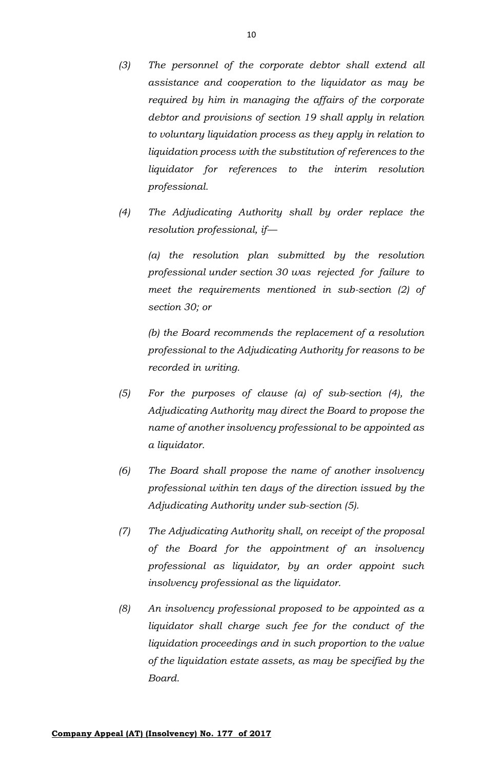- *(3) The personnel of the corporate debtor shall extend all assistance and cooperation to the liquidator as may be required by him in managing the affairs of the corporate debtor and provisions of section 19 shall apply in relation to voluntary liquidation process as they apply in relation to liquidation process with the substitution of references to the liquidator for references to the interim resolution professional.*
- *(4) The Adjudicating Authority shall by order replace the resolution professional, if—*

*(a) the resolution plan submitted by the resolution professional under section 30 was rejected for failure to meet the requirements mentioned in sub-section (2) of section 30; or*

*(b) the Board recommends the replacement of a resolution professional to the Adjudicating Authority for reasons to be recorded in writing.*

- *(5) For the purposes of clause (a) of sub-section (4), the Adjudicating Authority may direct the Board to propose the name of another insolvency professional to be appointed as a liquidator.*
- *(6) The Board shall propose the name of another insolvency professional within ten days of the direction issued by the Adjudicating Authority under sub-section (5).*
- *(7) The Adjudicating Authority shall, on receipt of the proposal of the Board for the appointment of an insolvency professional as liquidator, by an order appoint such insolvency professional as the liquidator.*
- *(8) An insolvency professional proposed to be appointed as a liquidator shall charge such fee for the conduct of the liquidation proceedings and in such proportion to the value of the liquidation estate assets, as may be specified by the Board.*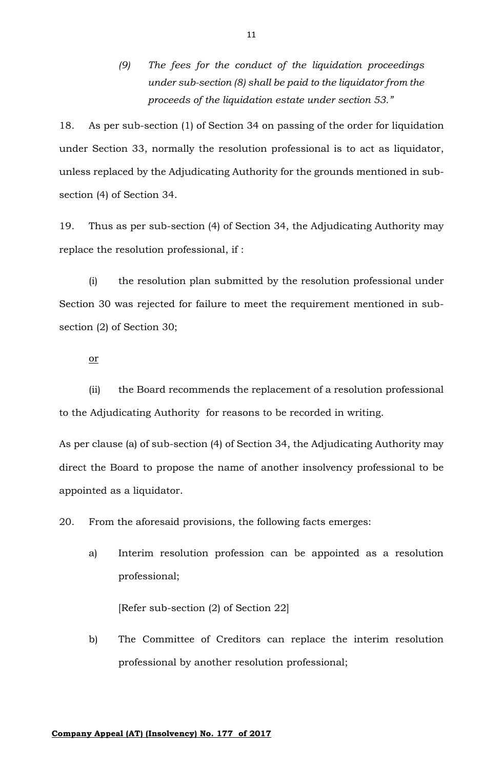*(9) The fees for the conduct of the liquidation proceedings under sub-section (8) shall be paid to the liquidator from the proceeds of the liquidation estate under section 53."*

18. As per sub-section (1) of Section 34 on passing of the order for liquidation under Section 33, normally the resolution professional is to act as liquidator, unless replaced by the Adjudicating Authority for the grounds mentioned in subsection (4) of Section 34.

19. Thus as per sub-section (4) of Section 34, the Adjudicating Authority may replace the resolution professional, if :

(i) the resolution plan submitted by the resolution professional under Section 30 was rejected for failure to meet the requirement mentioned in subsection (2) of Section 30;

or

(ii) the Board recommends the replacement of a resolution professional to the Adjudicating Authority for reasons to be recorded in writing.

As per clause (a) of sub-section (4) of Section 34, the Adjudicating Authority may direct the Board to propose the name of another insolvency professional to be appointed as a liquidator.

20. From the aforesaid provisions, the following facts emerges:

a) Interim resolution profession can be appointed as a resolution professional;

[Refer sub-section (2) of Section 22]

b) The Committee of Creditors can replace the interim resolution professional by another resolution professional;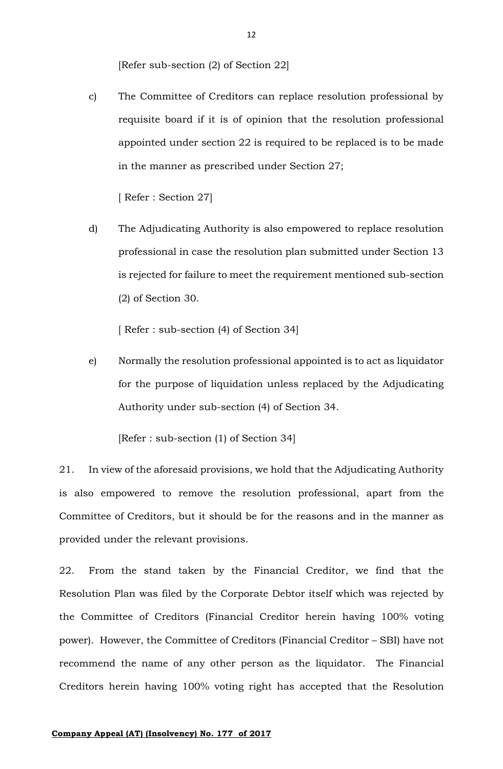[Refer sub-section (2) of Section 22]

c) The Committee of Creditors can replace resolution professional by requisite board if it is of opinion that the resolution professional appointed under section 22 is required to be replaced is to be made in the manner as prescribed under Section 27;

[ Refer : Section 27]

d) The Adjudicating Authority is also empowered to replace resolution professional in case the resolution plan submitted under Section 13 is rejected for failure to meet the requirement mentioned sub-section (2) of Section 30.

[ Refer : sub-section (4) of Section 34]

e) Normally the resolution professional appointed is to act as liquidator for the purpose of liquidation unless replaced by the Adjudicating Authority under sub-section (4) of Section 34.

[Refer : sub-section (1) of Section 34]

21. In view of the aforesaid provisions, we hold that the Adjudicating Authority is also empowered to remove the resolution professional, apart from the Committee of Creditors, but it should be for the reasons and in the manner as provided under the relevant provisions.

22. From the stand taken by the Financial Creditor, we find that the Resolution Plan was filed by the Corporate Debtor itself which was rejected by the Committee of Creditors (Financial Creditor herein having 100% voting power). However, the Committee of Creditors (Financial Creditor – SBI) have not recommend the name of any other person as the liquidator. The Financial Creditors herein having 100% voting right has accepted that the Resolution